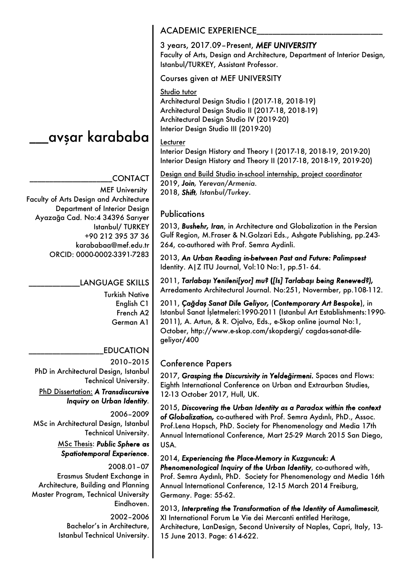\_avşar karababa

# \_\_\_\_\_\_\_\_\_\_\_\_\_\_\_\_\_\_\_\_\_CONTACT

MEF University Faculty of Arts Design and Architecture Department of Interior Design Ayazağa Cad. No:4 34396 Sarıyer Istanbul/ TURKEY +90 212 395 37 36 karababaa@mef.edu.tr ORCID: 0000-0002-3391-7283

## LANGUAGE SKILLS

Turkish Native English C1 French A2 German A1

### \_\_\_\_\_\_\_\_\_\_\_\_\_\_\_\_\_\_\_EDUCATION

2010–2015 PhD in Architectural Design, Istanbul Technical University. PhD Dissertation: *A Transdiscursive Inquiry on Urban Identity.*

2006–2009 MSc in Architectural Design, Istanbul Technical University. MSc Thesis: *Public Sphere as Spatiotemporal Experience*.

2008.01–07 Erasmus Student Exchange in Architecture, Building and Planning Master Program, Technical University Eindhoven.

> 2002–2006 Bachelor's in Architecture, Istanbul Technical University.

## ACADEMIC EXPERIENCE

3 years, 2017.09–Present, *MEF UNIVERSITY* Faculty of Arts, Design and Architecture, Department of Interior Design, Istanbul/TURKEY, Assistant Professor.

Courses given at MEF UNIVERSITY

### Studio tutor

Architectural Design Studio I (2017-18, 2018-19) Architectural Design Studio II (2017-18, 2018-19) Architectural Design Studio IV (2019-20) Interior Design Studio III (2019-20)

#### Lecturer

Interior Design History and Theory I (2017-18, 2018-19, 2019-20) Interior Design History and Theory II (2017-18, 2018-19, 2019-20)

Design and Build Studio in-school internship, project coordinator 2019, *Join, Yerevan/Armenia.* 2018, *Shift, Istanbul/Turkey*.

## **Publications**

2013, *Bushehr, Iran*, in Architecture and Globalization in the Persian Gulf Region, M.Fraser & N.Golzari Eds., Ashgate Publishing, pp.243- 264, co-authored with Prof. Semra Aydinli.

2013, *An Urban Reading in-between Past and Future: Palimpsest*  Identity. A|Z ITU Journal, Vol:10 No:1, pp.51- 64.

2011, *Tarlabaşı Yenileni[yor] mu?* **(***[Is] Tarlabaşı being Renewed?),* Arredamento Architectural Journal. No:251, Novermber, pp.108-112.

2011, *Çağdaş Sanat Dile Geliyor,* (*Contemporary Art Bespoke*), in Istanbul Sanat İşletmeleri:1990-2011 (Istanbul Art Establishments:1990- 2011), A. Artun, & R. Ojalvo, Eds., e-Skop online journal No:1, October, http://www.e-skop.com/skopdergi/ cagdas-sanat-dilegeliyor/400

#### Conference Papers

2017, *Grasping the Discursivity in Yeldeğirmeni.* Spaces and Flows: Eighth International Conference on Urban and Extraurban Studies, 12-13 October 2017, Hull, UK.

2015, *Discovering the Urban Identity as a Paradox within the context of Globalization,* co-authered with Prof. Semra Aydınlı, PhD., Assoc. Prof.Lena Hopsch, PhD. Society for Phenomenology and Media 17th Annual International Conference, Mart 25-29 March 2015 San Diego, USA.

2014, *Experiencing the Place-Memory in Kuzguncuk: A Phenomenological Inquiry of the Urban Identity*, co-authored with, Prof. Semra Aydınlı, PhD. Society for Phenomenology and Media 16th Annual International Conference, 12-15 March 2014 Freiburg, Germany. Page: 55-62.

2013, *Interpreting the Transformation of the Identity of Asmalimescit*, XI International Forum Le Vie dei Mercanti entitled Heritage, Architecture, LanDesign, Second University of Naples, Capri, Italy, 13- 15 June 2013. Page: 614-622.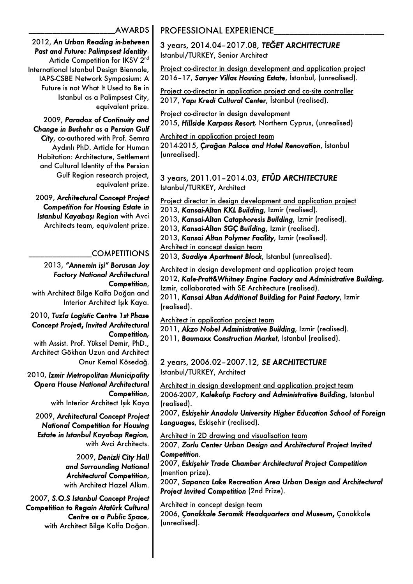\_\_\_\_\_\_\_\_\_\_\_\_\_\_\_\_\_\_\_\_\_\_AWARDS

#### 2012, *An Urban Reading in-between Past and Future: Palimpsest Identity*. Article Competition for IKSV 2<sup>nd</sup> International Istanbul Design Biennale, IAPS-CSBE Network Symposium: A Future is not What It Used to Be in Istanbul as a Palimpsest City, equivalent prize.

2009, *Paradox of Continuity and Change in Bushehr as a Persian Gulf City*, co-authored with Prof. Semra Aydınlı PhD. Article for Human Habitation: Architecture, Settlement and Cultural Identity of the Persian Gulf Region research project, equivalent prize.

2009, *Architectural Concept Project Competition for Housing Estate in Istanbul Kayabaşı Region* with Avci Architects team, equivalent prize.

# \_\_\_\_\_\_\_\_\_\_\_\_\_\_\_\_COMPETITIONS

2013, *"Annemin işi" Borusan Joy Factory National Architectural Competition*, with Architect Bilge Kalfa Doğan and Interior Architect Işık Kaya.

2010, *Tuzla Logistic Centre 1st Phase Concept Proje***ct,** *Invited Architectural Competition,*  with Assist. Prof. Yüksel Demir, PhD., Architect Gökhan Uzun and Architect Onur Kemal Kösedağ.

2010, *Izmir Metropolitan Municipality Opera House National Architectural Competition*,

with Interior Architect Işık Kaya

2009, *Architectural Concept Project National Competition for Housing Estate in Istanbul Kayabaşı Region,* with Avci Architects.

> 2009, *Denizli City Hall and Surrounding National Architectural Competition*, with Architect Hazel Alkım.

2007, *S.O.S Istanbul Concept Project Competition to Regain Atatürk Cultural Centre as a Public Space*, with Architect Bilge Kalfa Doğan.

# PROFESSIONAL EXPERIENCE

3 years, 2014.04–2017.08, *TEĞET ARCHITECTURE* Istanbul/TURKEY, Senior Architect

Project co-director in design development and application project 2016–17, *Sarıyer Villas Housing Estate*, İstanbul, (unrealised).

Project co-director in application project and co-site controller 2017, *Yapı Kredi Cultural Center*, İstanbul (realised).

Project co-director in design development 2015, *Hillside Karpass Resort,* Northern Cyprus, (unrealised)

Architect in application project team 2014-2015, *Çırağan Palace and Hotel Renovation*, İstanbul (unrealised).

3 years, 2011.01–2014.03, *ETÜD ARCHITECTURE* Istanbul/TURKEY, Architect

Project director in design development and application project 2013, *Kansai-Altan KKL Building*, Izmir (realised). 2013, *Kansai-Altan Cataphoresis Building*, Izmir (realised). 2013, *Kansai-Altan SGÇ Building*, Izmir (realised). 2013, *Kansai Altan Polymer Facility*, Izmir (realised). Architect in concept design team 2013, *Suadiye Apartment Block*, Istanbul (unrealised).

Architect in design development and application project team 2012, *Kale-Pratt&Whitney Engine Factory and Administrative Building*, Izmir, collaborated with SE Architecture (realised). 2011, *Kansai Altan Additional Building for Paint Factory*, Izmir (realised).

Architect in application project team

2011, *Akzo Nobel Administrative Building*, Izmir (realised).

2011, *Baumaxx Construction Market*, Istanbul (realised).

2 years, 2006.02–2007.12, *SE ARCHITECTURE* Istanbul/TURKEY, Architect

Architect in design development and application project team 2006-2007, *Kalekalıp Factory and Administrative Building*, Istanbul (realised).

2007, *Eskişehir Anadolu University Higher Education School of Foreign Languages*, Eskişehir (realised).

Architect in 2D drawing and visualisation team

2007, *Zorlu Center Urban Design and Architectural Project Invited Competition*.

2007, *Eskişehir Trade Chamber Architectural Project Competition* (mention prize).

2007, *Sapanca Lake Recreation Area Urban Design and Architectural Project Invited Competition* (2nd Prize).

Architect in concept design team 2006, *Çanakkale Seramik Headquarters and Museum***,** Çanakkale (unrealised).